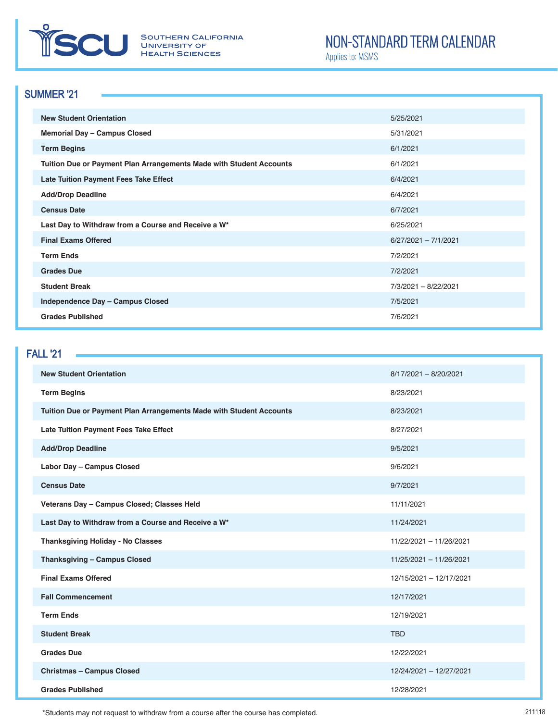

SOUTHERN CALIFORNIA<br>UNIVERSITY OF **HEALTH SCIENCES** 

# NON-STANDARD TERM CALENDAR

Applies to: MSMS

#### SUMMER '21

| <b>New Student Orientation</b>                                      | 5/25/2021              |
|---------------------------------------------------------------------|------------------------|
| Memorial Day - Campus Closed                                        | 5/31/2021              |
| <b>Term Begins</b>                                                  | 6/1/2021               |
| Tuition Due or Payment Plan Arrangements Made with Student Accounts | 6/1/2021               |
| <b>Late Tuition Payment Fees Take Effect</b>                        | 6/4/2021               |
| <b>Add/Drop Deadline</b>                                            | 6/4/2021               |
| <b>Census Date</b>                                                  | 6/7/2021               |
| Last Day to Withdraw from a Course and Receive a W*                 | 6/25/2021              |
| <b>Final Exams Offered</b>                                          | $6/27/2021 - 7/1/2021$ |
| <b>Term Ends</b>                                                    | 7/2/2021               |
| <b>Grades Due</b>                                                   | 7/2/2021               |
| <b>Student Break</b>                                                | 7/3/2021 - 8/22/2021   |
| Independence Day - Campus Closed                                    | 7/5/2021               |
| <b>Grades Published</b>                                             | 7/6/2021               |

#### FALL '21

| <b>New Student Orientation</b>                                      | 8/17/2021 - 8/20/2021   |
|---------------------------------------------------------------------|-------------------------|
| <b>Term Begins</b>                                                  | 8/23/2021               |
| Tuition Due or Payment Plan Arrangements Made with Student Accounts | 8/23/2021               |
| Late Tuition Payment Fees Take Effect                               | 8/27/2021               |
| <b>Add/Drop Deadline</b>                                            | 9/5/2021                |
| Labor Day - Campus Closed                                           | 9/6/2021                |
| <b>Census Date</b>                                                  | 9/7/2021                |
| Veterans Day - Campus Closed; Classes Held                          | 11/11/2021              |
| Last Day to Withdraw from a Course and Receive a W*                 | 11/24/2021              |
| <b>Thanksgiving Holiday - No Classes</b>                            | 11/22/2021 - 11/26/2021 |
| <b>Thanksgiving - Campus Closed</b>                                 | 11/25/2021 - 11/26/2021 |
| <b>Final Exams Offered</b>                                          | 12/15/2021 - 12/17/2021 |
| <b>Fall Commencement</b>                                            | 12/17/2021              |
| <b>Term Ends</b>                                                    | 12/19/2021              |
| <b>Student Break</b>                                                | <b>TBD</b>              |
| <b>Grades Due</b>                                                   | 12/22/2021              |
| <b>Christmas - Campus Closed</b>                                    | 12/24/2021 - 12/27/2021 |
| <b>Grades Published</b>                                             | 12/28/2021              |

\*Students may not request to withdraw from a course after the course has completed.